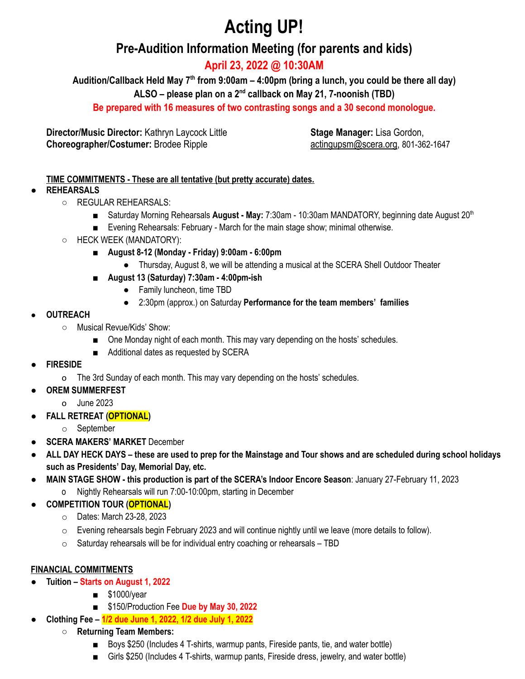# **Acting UP!**

# **Pre-Audition Information Meeting (for parents and kids)**

**April 23, 2022 @ 10:30AM**

**Audition/Callback Held May 7th from 9:00am – 4:00pm (bring a lunch, you could be there all day)**

**ALSO – please plan on a 2nd callback on May 21, 7-noonish (TBD)**

**Be prepared with 16 measures of two contrasting songs and a 30 second monologue.**

**Director/Music Director:** Kathryn Laycock Little **Choreographer/Costumer:** Brodee Ripple

**Stage Manager:** Lisa Gordon, actingupsm@scera.org, 801-362-1647

## **TIME COMMITMENTS - These are all tentative (but pretty accurate) dates.**

## ● **REHEARSALS**

- REGULAR REHEARSALS:
	- Saturday Morning Rehearsals **August May:** 7:30am 10:30am MANDATORY, beginning date August 20<sup>th</sup> ■ Evening Rehearsals: February - March for the main stage show; minimal otherwise.
- HECK WEEK (MANDATORY):
	- **August 8-12 (Monday - Friday) 9:00am - 6:00pm**
		- Thursday, August 8, we will be attending a musical at the SCERA Shell Outdoor Theater
	- **August 13 (Saturday) 7:30am - 4:00pm-ish**
		- Family luncheon, time TBD
		- 2:30pm (approx.) on Saturday **Performance for the team members' families**

## ● **OUTREACH**

- Musical Revue/Kids' Show:
	- One Monday night of each month. This may vary depending on the hosts' schedules.
	- Additional dates as requested by SCERA
- **FIRESIDE**
	- o The 3rd Sunday of each month. This may vary depending on the hosts' schedules.
- **OREM SUMMERFEST**
	- o June 2023
- **FALL RETREAT (OPTIONAL)**
	- o September
- **SCERA MAKERS' MARKET** December
- ALL DAY HECK DAYS these are used to prep for the Mainstage and Tour shows and are scheduled during school holidays **such as Presidents' Day, Memorial Day, etc.**
- **MAIN STAGE SHOW - this production is part of the SCERA's Indoor Encore Season**: January 27-February 11, 2023
	- o Nightly Rehearsals will run 7:00-10:00pm, starting in December
- **COMPETITION TOUR (OPTIONAL)**
	- o Dates: March 23-28, 2023
	- o Evening rehearsals begin February 2023 and will continue nightly until we leave (more details to follow).
	- $\circ$  Saturday rehearsals will be for individual entry coaching or rehearsals TBD

# **FINANCIAL COMMITMENTS**

- **Tuition – Starts on August 1, 2022**
	- \$1000/year
	- \$150/Production Fee **Due by May 30, 2022**
- **Clothing Fee** *–* **1/2 due June 1, 2022, 1/2 due July 1, 2022**
	- **Returning Team Members:**
		- Boys \$250 (Includes 4 T-shirts, warmup pants, Fireside pants, tie, and water bottle)
		- Girls \$250 (Includes 4 T-shirts, warmup pants, Fireside dress, jewelry, and water bottle)